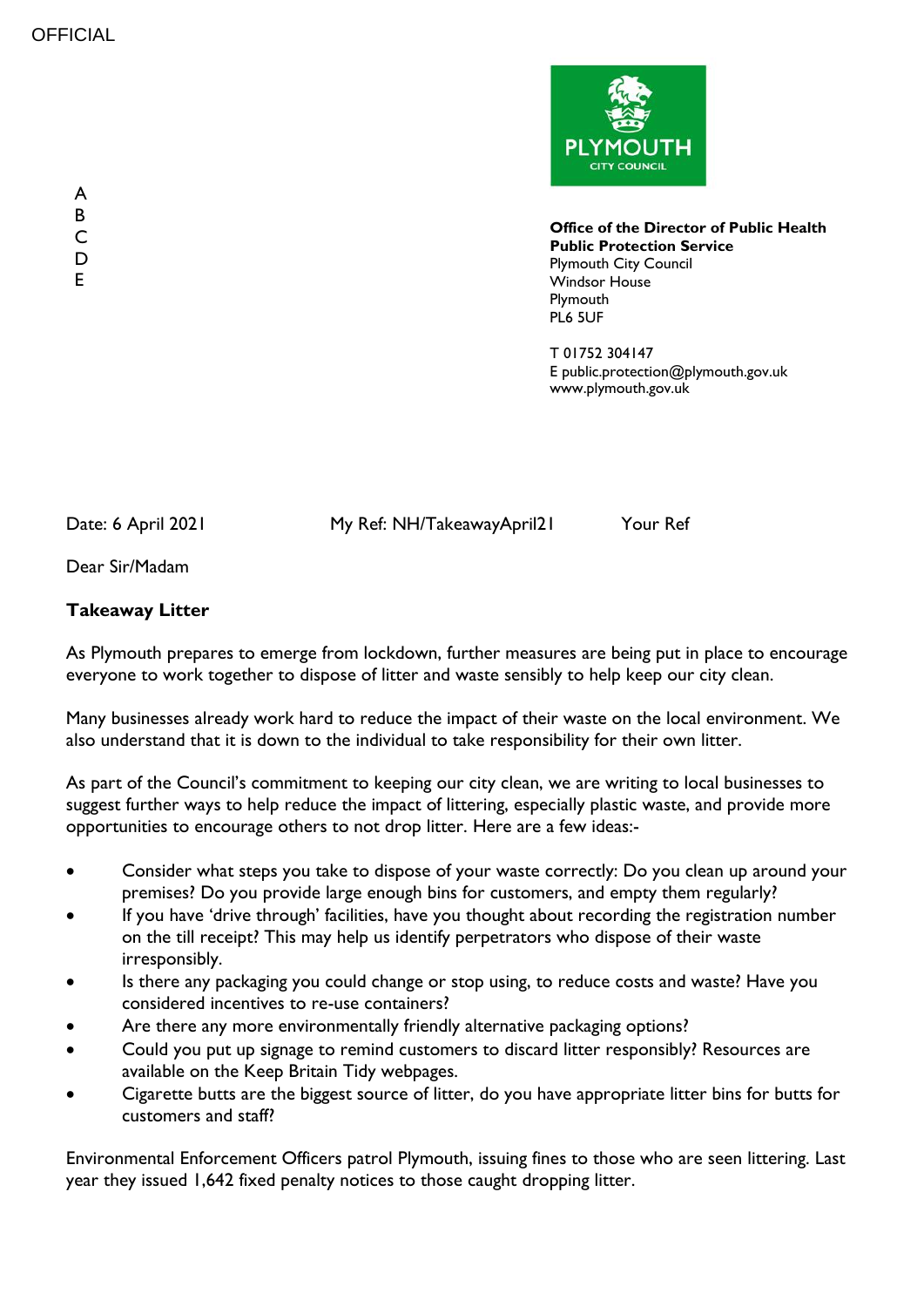

**Office of the Director of Public Health Public Protection Service** Plymouth City Council Windsor House Plymouth PL6 5UF

T 01752 304147 E public.protection@plymouth.gov.uk www.plymouth.gov.uk

Date: 6 April 2021 My Ref: NH/TakeawayApril21 Your Ref

Dear Sir/Madam

## **Takeaway Litter**

As Plymouth prepares to emerge from lockdown, further measures are being put in place to encourage everyone to work together to dispose of litter and waste sensibly to help keep our city clean.

Many businesses already work hard to reduce the impact of their waste on the local environment. We also understand that it is down to the individual to take responsibility for their own litter.

As part of the Council's commitment to keeping our city clean, we are writing to local businesses to suggest further ways to help reduce the impact of littering, especially plastic waste, and provide more opportunities to encourage others to not drop litter. Here are a few ideas:-

- Consider what steps you take to dispose of your waste correctly: Do you clean up around your premises? Do you provide large enough bins for customers, and empty them regularly?
- If you have 'drive through' facilities, have you thought about recording the registration number on the till receipt? This may help us identify perpetrators who dispose of their waste irresponsibly.
- Is there any packaging you could change or stop using, to reduce costs and waste? Have you considered incentives to re-use containers?
- Are there any more environmentally friendly alternative packaging options?
- Could you put up signage to remind customers to discard litter responsibly? Resources are available on the Keep Britain Tidy webpages.
- Cigarette butts are the biggest source of litter, do you have appropriate litter bins for butts for customers and staff?

Environmental Enforcement Officers patrol Plymouth, issuing fines to those who are seen littering. Last year they issued 1,642 fixed penalty notices to those caught dropping litter.

A B C D E